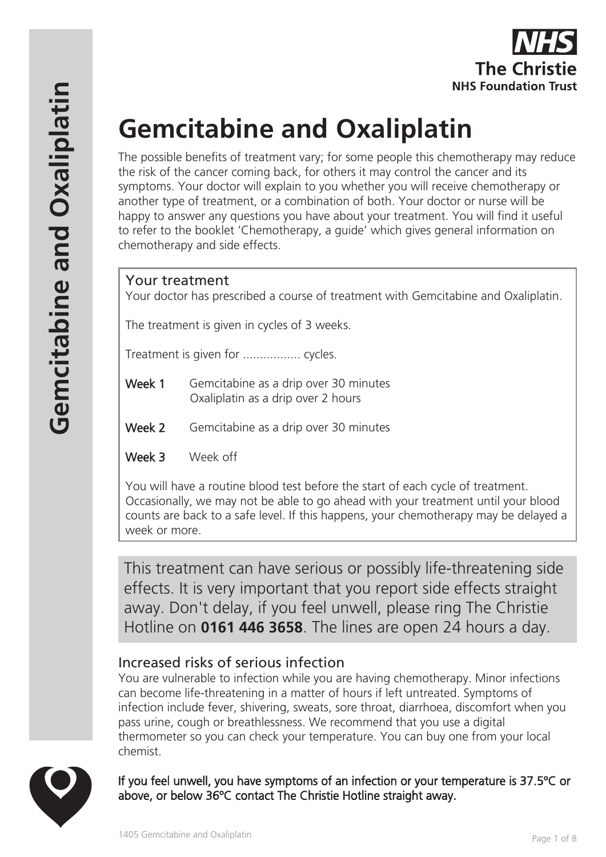

# **Gemcitabine and Oxaliplatin**

The possible benefits of treatment vary; for some people this chemotherapy may reduce the risk of the cancer coming back, for others it may control the cancer and its symptoms. Your doctor will explain to you whether you will receive chemotherapy or another type of treatment, or a combination of both. Your doctor or nurse will be happy to answer any questions you have about your treatment. You will find it useful to refer to the booklet 'Chemotherapy, a guide' which gives general information on chemotherapy and side effects.

# Your treatment

Your doctor has prescribed a course of treatment with Gemcitabine and Oxaliplatin.

The treatment is given in cycles of 3 weeks.

Treatment is given for ................. cycles.

- Week 1 Gemcitabine as a drip over 30 minutes Oxaliplatin as a drip over 2 hours
- Week 2 Gemcitabine as a drip over 30 minutes
- Week 3 Week off

You will have a routine blood test before the start of each cycle of treatment. Occasionally, we may not be able to go ahead with your treatment until your blood counts are back to a safe level. If this happens, your chemotherapy may be delayed a week or more.

This treatment can have serious or possibly life-threatening side effects. It is very important that you report side effects straight away. Don't delay, if you feel unwell, please ring The Christie Hotline on **0161 446 3658**. The lines are open 24 hours a day.

# Increased risks of serious infection

You are vulnerable to infection while you are having chemotherapy. Minor infections can become life-threatening in a matter of hours if left untreated. Symptoms of infection include fever, shivering, sweats, sore throat, diarrhoea, discomfort when you pass urine, cough or breathlessness. We recommend that you use a digital thermometer so you can check your temperature. You can buy one from your local chemist.



If you feel unwell, you have symptoms of an infection or your temperature is 37.5ºC or above, or below 36ºC contact The Christie Hotline straight away.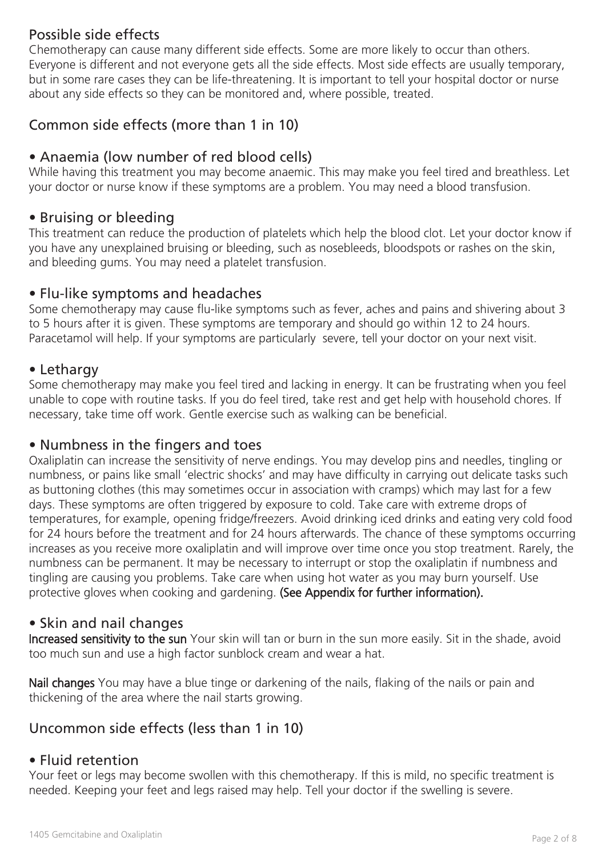# Possible side effects

Chemotherapy can cause many different side effects. Some are more likely to occur than others. Everyone is different and not everyone gets all the side effects. Most side effects are usually temporary, but in some rare cases they can be life-threatening. It is important to tell your hospital doctor or nurse about any side effects so they can be monitored and, where possible, treated.

# Common side effects (more than 1 in 10)

# • Anaemia (low number of red blood cells)

While having this treatment you may become anaemic. This may make you feel tired and breathless. Let your doctor or nurse know if these symptoms are a problem. You may need a blood transfusion.

#### • Bruising or bleeding

This treatment can reduce the production of platelets which help the blood clot. Let your doctor know if you have any unexplained bruising or bleeding, such as nosebleeds, bloodspots or rashes on the skin, and bleeding gums. You may need a platelet transfusion.

#### • Flu-like symptoms and headaches

Some chemotherapy may cause flu-like symptoms such as fever, aches and pains and shivering about 3 to 5 hours after it is given. These symptoms are temporary and should go within 12 to 24 hours. Paracetamol will help. If your symptoms are particularly severe, tell your doctor on your next visit.

#### • Lethargy

Some chemotherapy may make you feel tired and lacking in energy. It can be frustrating when you feel unable to cope with routine tasks. If you do feel tired, take rest and get help with household chores. If necessary, take time off work. Gentle exercise such as walking can be beneficial.

#### • Numbness in the fingers and toes

Oxaliplatin can increase the sensitivity of nerve endings. You may develop pins and needles, tingling or numbness, or pains like small 'electric shocks' and may have difficulty in carrying out delicate tasks such as buttoning clothes (this may sometimes occur in association with cramps) which may last for a few days. These symptoms are often triggered by exposure to cold. Take care with extreme drops of temperatures, for example, opening fridge/freezers. Avoid drinking iced drinks and eating very cold food for 24 hours before the treatment and for 24 hours afterwards. The chance of these symptoms occurring increases as you receive more oxaliplatin and will improve over time once you stop treatment. Rarely, the numbness can be permanent. It may be necessary to interrupt or stop the oxaliplatin if numbness and tingling are causing you problems. Take care when using hot water as you may burn yourself. Use protective gloves when cooking and gardening. (See Appendix for further information).

# • Skin and nail changes

Increased sensitivity to the sun Your skin will tan or burn in the sun more easily. Sit in the shade, avoid too much sun and use a high factor sunblock cream and wear a hat.

Nail changes You may have a blue tinge or darkening of the nails, flaking of the nails or pain and thickening of the area where the nail starts growing.

# Uncommon side effects (less than 1 in 10)

#### • Fluid retention

Your feet or legs may become swollen with this chemotherapy. If this is mild, no specific treatment is needed. Keeping your feet and legs raised may help. Tell your doctor if the swelling is severe.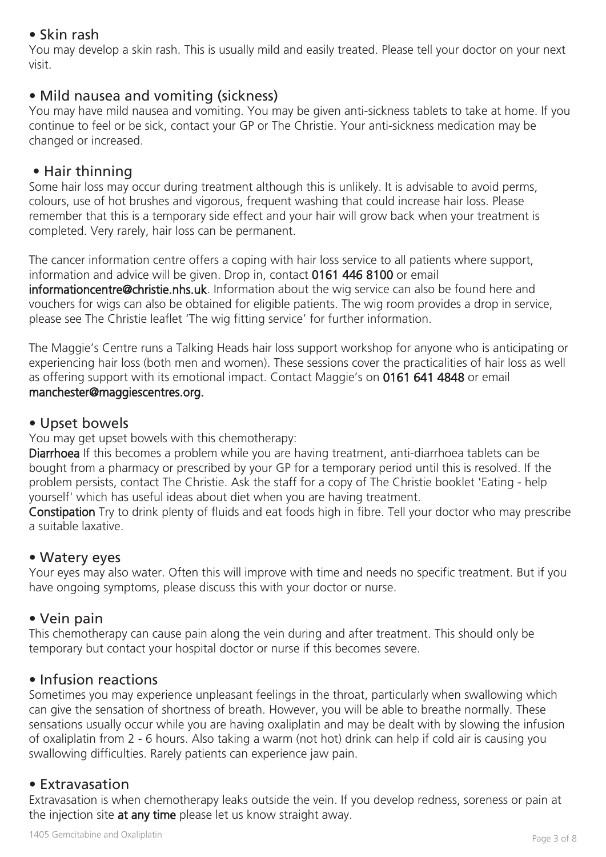# • Skin rash

You may develop a skin rash. This is usually mild and easily treated. Please tell your doctor on your next visit.

### • Mild nausea and vomiting (sickness)

You may have mild nausea and vomiting. You may be given anti-sickness tablets to take at home. If you continue to feel or be sick, contact your GP or The Christie. Your anti-sickness medication may be changed or increased.

#### • Hair thinning

Some hair loss may occur during treatment although this is unlikely. It is advisable to avoid perms, colours, use of hot brushes and vigorous, frequent washing that could increase hair loss. Please remember that this is a temporary side effect and your hair will grow back when your treatment is completed. Very rarely, hair loss can be permanent.

The cancer information centre offers a coping with hair loss service to all patients where support, information and advice will be given. Drop in, contact 0161 446 8100 or email informationcentre@christie.nhs.uk. Information about the wig service can also be found here and vouchers for wigs can also be obtained for eligible patients. The wig room provides a drop in service, please see The Christie leaflet 'The wig fitting service' for further information.

The Maggie's Centre runs a Talking Heads hair loss support workshop for anyone who is anticipating or experiencing hair loss (both men and women). These sessions cover the practicalities of hair loss as well as offering support with its emotional impact. Contact Maggie's on 0161 641 4848 or email manchester@maggiescentres.org.

#### • Upset bowels

You may get upset bowels with this chemotherapy:

Diarrhoea If this becomes a problem while you are having treatment, anti-diarrhoea tablets can be bought from a pharmacy or prescribed by your GP for a temporary period until this is resolved. If the problem persists, contact The Christie. Ask the staff for a copy of The Christie booklet 'Eating - help yourself' which has useful ideas about diet when you are having treatment.

Constipation Try to drink plenty of fluids and eat foods high in fibre. Tell your doctor who may prescribe a suitable laxative.

#### • Watery eyes

Your eyes may also water. Often this will improve with time and needs no specific treatment. But if you have ongoing symptoms, please discuss this with your doctor or nurse.

#### • Vein pain

This chemotherapy can cause pain along the vein during and after treatment. This should only be temporary but contact your hospital doctor or nurse if this becomes severe.

#### • Infusion reactions

Sometimes you may experience unpleasant feelings in the throat, particularly when swallowing which can give the sensation of shortness of breath. However, you will be able to breathe normally. These sensations usually occur while you are having oxaliplatin and may be dealt with by slowing the infusion of oxaliplatin from 2 - 6 hours. Also taking a warm (not hot) drink can help if cold air is causing you swallowing difficulties. Rarely patients can experience jaw pain.

#### • Extravasation

Extravasation is when chemotherapy leaks outside the vein. If you develop redness, soreness or pain at the injection site at any time please let us know straight away.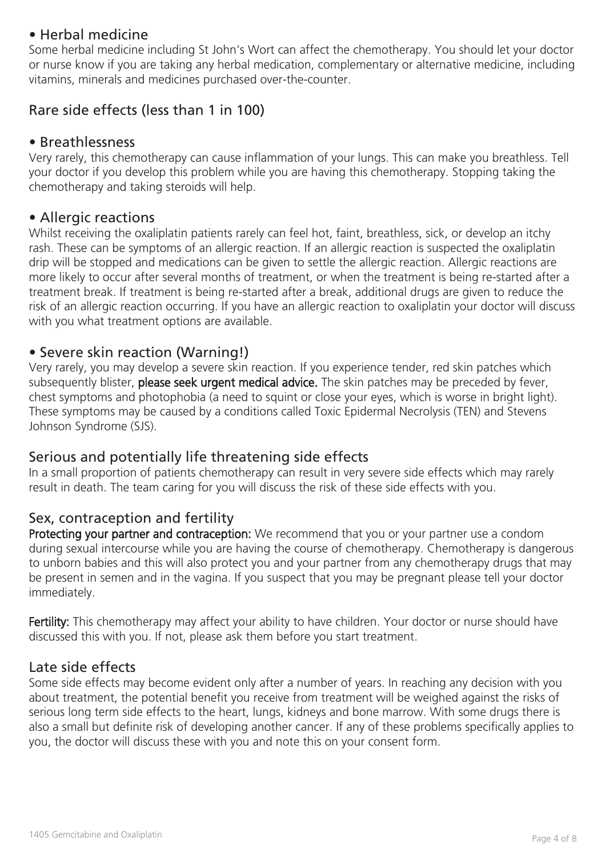#### • Herbal medicine

Some herbal medicine including St John's Wort can affect the chemotherapy. You should let your doctor or nurse know if you are taking any herbal medication, complementary or alternative medicine, including vitamins, minerals and medicines purchased over-the-counter.

# Rare side effects (less than 1 in 100)

#### • Breathlessness

Very rarely, this chemotherapy can cause inflammation of your lungs. This can make you breathless. Tell your doctor if you develop this problem while you are having this chemotherapy. Stopping taking the chemotherapy and taking steroids will help.

#### • Allergic reactions

Whilst receiving the oxaliplatin patients rarely can feel hot, faint, breathless, sick, or develop an itchy rash. These can be symptoms of an allergic reaction. If an allergic reaction is suspected the oxaliplatin drip will be stopped and medications can be given to settle the allergic reaction. Allergic reactions are more likely to occur after several months of treatment, or when the treatment is being re-started after a treatment break. If treatment is being re-started after a break, additional drugs are given to reduce the risk of an allergic reaction occurring. If you have an allergic reaction to oxaliplatin your doctor will discuss with you what treatment options are available.

#### • Severe skin reaction (Warning!)

Very rarely, you may develop a severe skin reaction. If you experience tender, red skin patches which subsequently blister, please seek urgent medical advice. The skin patches may be preceded by fever, chest symptoms and photophobia (a need to squint or close your eyes, which is worse in bright light). These symptoms may be caused by a conditions called Toxic Epidermal Necrolysis (TEN) and Stevens Johnson Syndrome (SJS).

#### Serious and potentially life threatening side effects

In a small proportion of patients chemotherapy can result in very severe side effects which may rarely result in death. The team caring for you will discuss the risk of these side effects with you.

#### Sex, contraception and fertility

Protecting your partner and contraception: We recommend that you or your partner use a condom during sexual intercourse while you are having the course of chemotherapy. Chemotherapy is dangerous to unborn babies and this will also protect you and your partner from any chemotherapy drugs that may be present in semen and in the vagina. If you suspect that you may be pregnant please tell your doctor immediately.

Fertility: This chemotherapy may affect your ability to have children. Your doctor or nurse should have discussed this with you. If not, please ask them before you start treatment.

#### Late side effects

Some side effects may become evident only after a number of years. In reaching any decision with you about treatment, the potential benefit you receive from treatment will be weighed against the risks of serious long term side effects to the heart, lungs, kidneys and bone marrow. With some drugs there is also a small but definite risk of developing another cancer. If any of these problems specifically applies to you, the doctor will discuss these with you and note this on your consent form.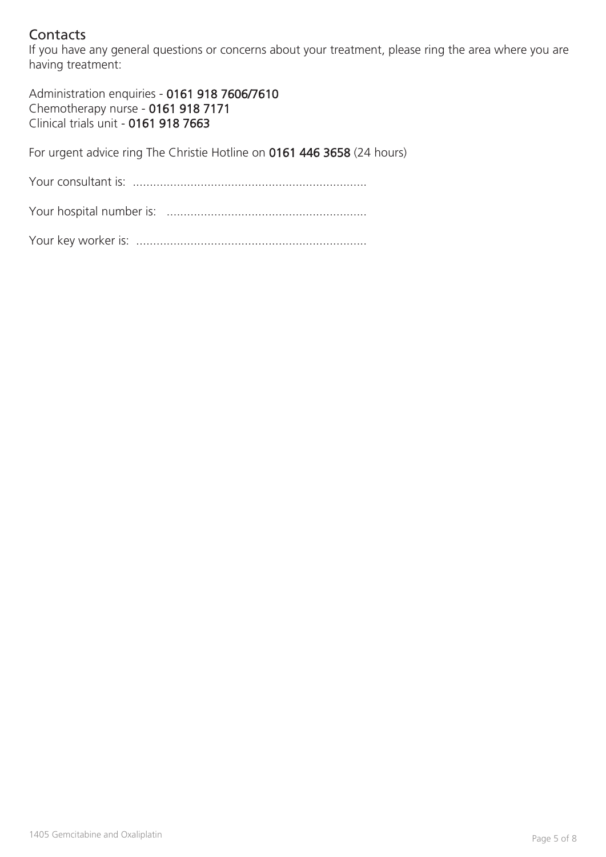# **Contacts**

If you have any general questions or concerns about your treatment, please ring the area where you are having treatment:

Administration enquiries - 0161 918 7606/7610 Chemotherapy nurse - 0161 918 7171 Clinical trials unit - 0161 918 7663

For urgent advice ring The Christie Hotline on 0161 446 3658 (24 hours)

Your consultant is: .....................................................................

Your hospital number is: ...........................................................

Your key worker is: ....................................................................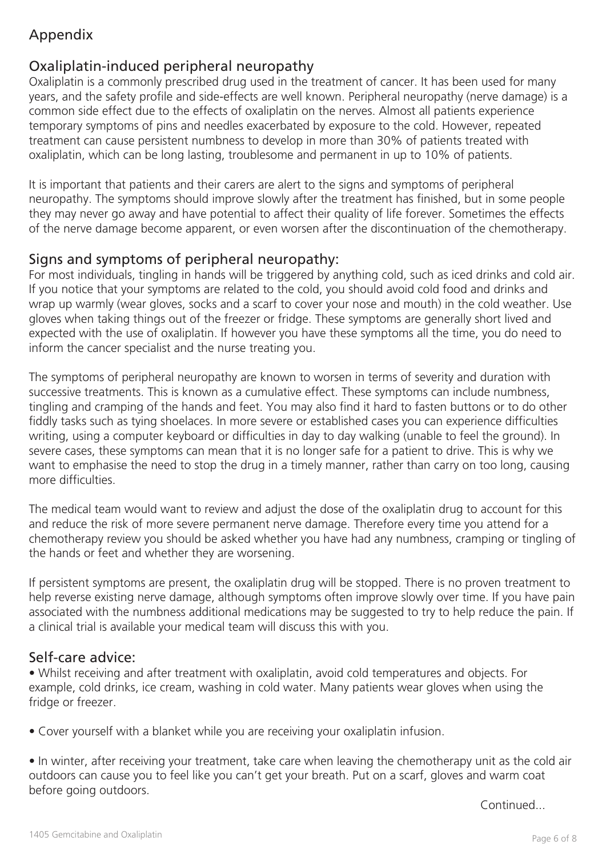# Appendix

# Oxaliplatin-induced peripheral neuropathy

Oxaliplatin is a commonly prescribed drug used in the treatment of cancer. It has been used for many years, and the safety profile and side-effects are well known. Peripheral neuropathy (nerve damage) is a common side effect due to the effects of oxaliplatin on the nerves. Almost all patients experience temporary symptoms of pins and needles exacerbated by exposure to the cold. However, repeated treatment can cause persistent numbness to develop in more than 30% of patients treated with oxaliplatin, which can be long lasting, troublesome and permanent in up to 10% of patients.

It is important that patients and their carers are alert to the signs and symptoms of peripheral neuropathy. The symptoms should improve slowly after the treatment has finished, but in some people they may never go away and have potential to affect their quality of life forever. Sometimes the effects of the nerve damage become apparent, or even worsen after the discontinuation of the chemotherapy.

# Signs and symptoms of peripheral neuropathy:

For most individuals, tingling in hands will be triggered by anything cold, such as iced drinks and cold air. If you notice that your symptoms are related to the cold, you should avoid cold food and drinks and wrap up warmly (wear gloves, socks and a scarf to cover your nose and mouth) in the cold weather. Use gloves when taking things out of the freezer or fridge. These symptoms are generally short lived and expected with the use of oxaliplatin. If however you have these symptoms all the time, you do need to inform the cancer specialist and the nurse treating you.

The symptoms of peripheral neuropathy are known to worsen in terms of severity and duration with successive treatments. This is known as a cumulative effect. These symptoms can include numbness, tingling and cramping of the hands and feet. You may also find it hard to fasten buttons or to do other fiddly tasks such as tying shoelaces. In more severe or established cases you can experience difficulties writing, using a computer keyboard or difficulties in day to day walking (unable to feel the ground). In severe cases, these symptoms can mean that it is no longer safe for a patient to drive. This is why we want to emphasise the need to stop the drug in a timely manner, rather than carry on too long, causing more difficulties.

The medical team would want to review and adjust the dose of the oxaliplatin drug to account for this and reduce the risk of more severe permanent nerve damage. Therefore every time you attend for a chemotherapy review you should be asked whether you have had any numbness, cramping or tingling of the hands or feet and whether they are worsening.

If persistent symptoms are present, the oxaliplatin drug will be stopped. There is no proven treatment to help reverse existing nerve damage, although symptoms often improve slowly over time. If you have pain associated with the numbness additional medications may be suggested to try to help reduce the pain. If a clinical trial is available your medical team will discuss this with you.

# Self-care advice:

• Whilst receiving and after treatment with oxaliplatin, avoid cold temperatures and objects. For example, cold drinks, ice cream, washing in cold water. Many patients wear gloves when using the fridge or freezer.

• Cover yourself with a blanket while you are receiving your oxaliplatin infusion.

• In winter, after receiving your treatment, take care when leaving the chemotherapy unit as the cold air outdoors can cause you to feel like you can't get your breath. Put on a scarf, gloves and warm coat before going outdoors.

Continued...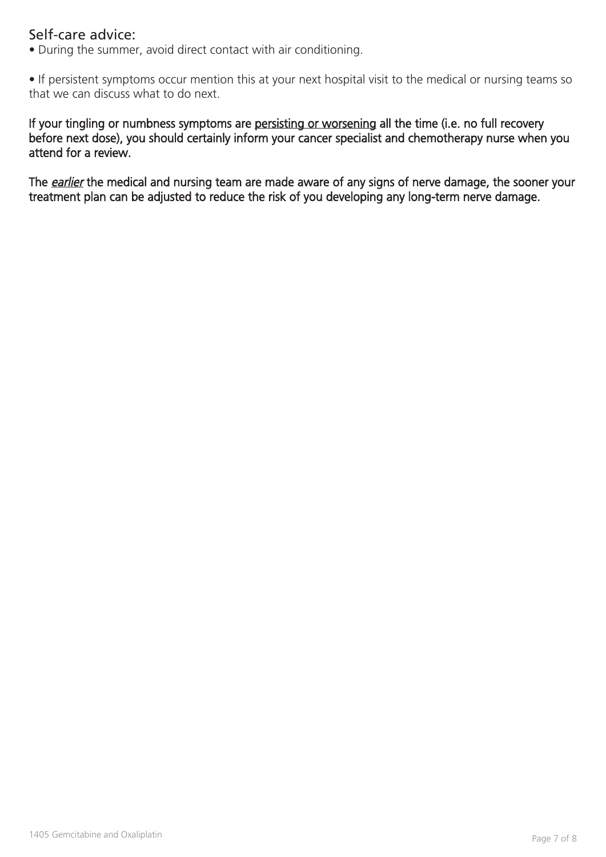#### Self-care advice:

• During the summer, avoid direct contact with air conditioning.

• If persistent symptoms occur mention this at your next hospital visit to the medical or nursing teams so that we can discuss what to do next.

If your tingling or numbness symptoms are persisting or worsening all the time (i.e. no full recovery before next dose), you should certainly inform your cancer specialist and chemotherapy nurse when you attend for a review.

The earlier the medical and nursing team are made aware of any signs of nerve damage, the sooner your treatment plan can be adjusted to reduce the risk of you developing any long-term nerve damage.